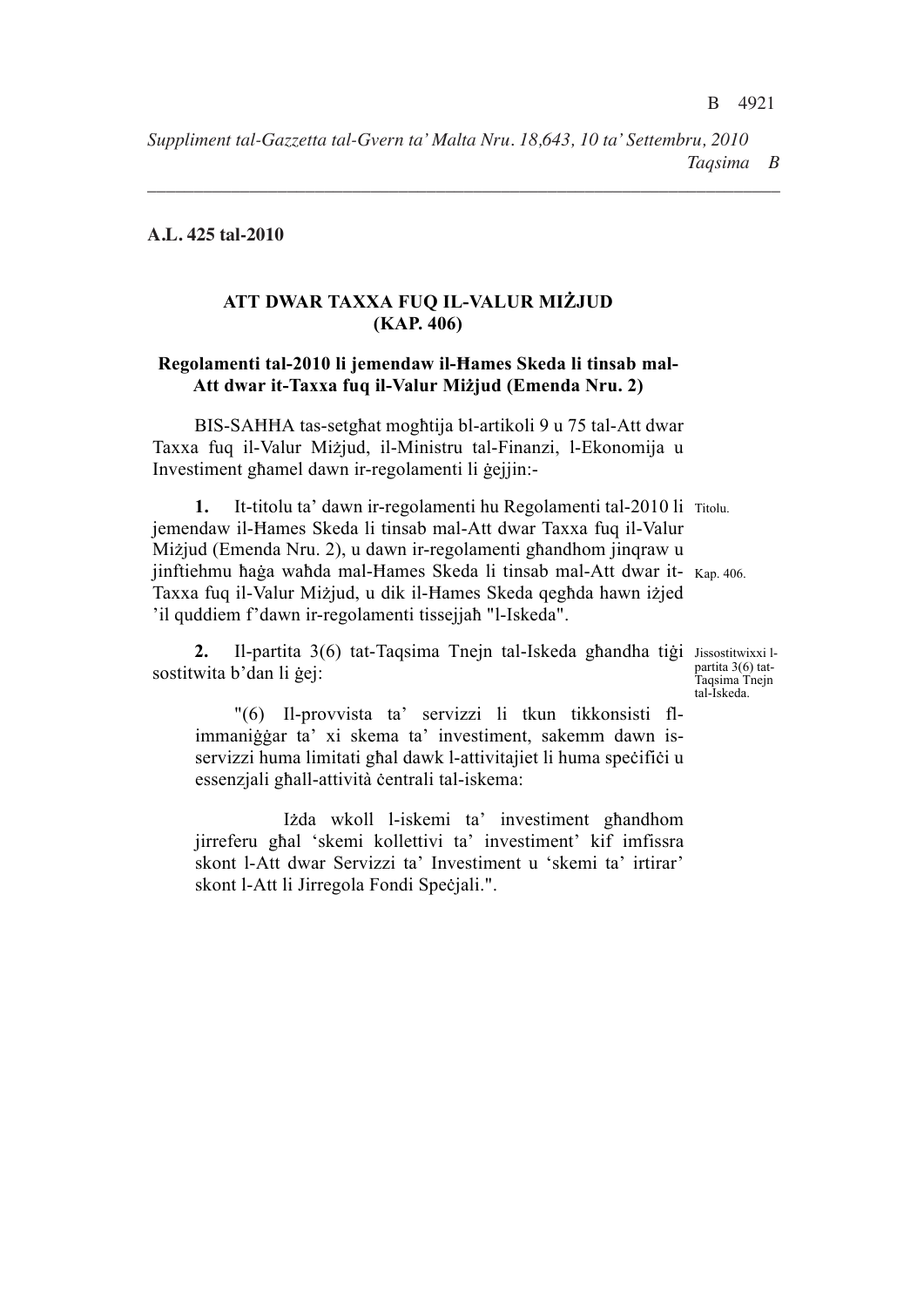*Suppliment tal-Gazzetta tal-Gvern ta' Malta Nru. 18,643, 10 ta' Settembru, 2010 Taqsima B* .............................................. ..............................................

*\_\_\_\_\_\_\_\_\_\_\_\_\_\_\_\_\_\_\_\_\_\_\_\_\_\_\_\_\_\_\_\_\_\_\_\_\_\_\_\_\_\_\_\_\_\_\_\_\_\_\_\_\_\_\_\_\_\_\_\_\_\_\_\_\_\_\_\_*

Prim Ministru Ministru tal-Finanzi, l-Ekonomija

## **A.L. 425 tal-2010**

# **ATT DWAR TAXXA FUQ IL-VALUR MIŻJUD (KAP. 406)**

### Regolamenti tal-2010 li jemendaw il-Hames Skeda li tinsab mal-**Att dwar it-Taxxa fuq il-Valur Mi\jud (Emenda Nru. 2)**

BIS-SAHHA tas-setghat moghtija bl-artikoli 9 u 75 tal-Att dwar Taxxa fuq il-Valur Mi\jud, il-Ministru tal-Finanzi, l-Ekonomija u Investiment ghamel dawn ir-regolamenti li gejjin:-

1. It-titolu ta' dawn ir-regolamenti hu Regolamenti tal-2010 li Titolu. jinftiehmu haġa wahda mal-Hames Skeda li tinsab mal-Att dwar it- Kap. 406. jemendaw il-Hames Skeda li tinsab mal-Att dwar Taxxa fuq il-Valur Mizjud (Emenda Nru. 2), u dawn ir-regolamenti ghandhom jinqraw u Taxxa fuq il-Valur Mizjud, u dik il-Hames Skeda qeghda hawn izjed 'il quddiem f'dawn ir-regolamenti tissejjah "l-Iskeda".

2. Il-partita 3(6) tat-Taqsima Tnejn tal-Iskeda ghandha tigi Jissostitwixxilsostitwita b'dan li gej:

partita 3(6) tat-Taqsima Tnejn tal-Iskeda.

"(6) Il-provvista ta' servizzi li tkun tikkonsisti flimmaniğgar ta' xi skema ta' investiment, sakemm dawn isservizzi huma limitati ghal dawk l-attivitajiet li huma specifici u essenzjali ghall-attività centrali tal-iskema:

Izda wkoll l-iskemi ta' investiment ghandhom jirreferu ghal 'skemi kollettivi ta' investiment' kif imfissra skont l-Att dwar Servizzi ta' Investiment u 'skemi ta' irtirar' skont l-Att li Jirregola Fondi Spečjali.".